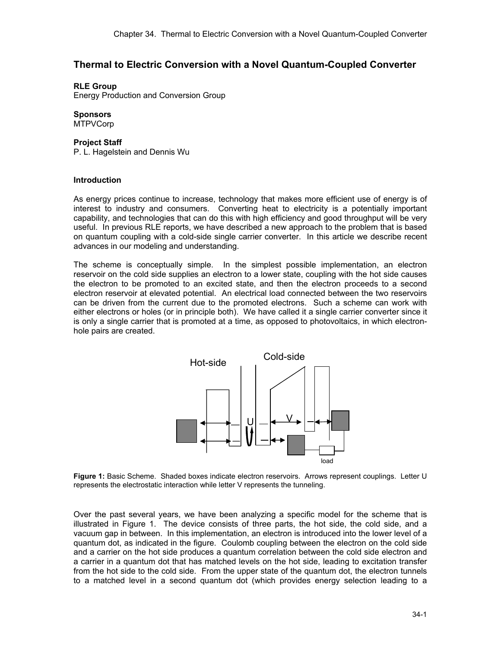# **Thermal to Electric Conversion with a Novel Quantum-Coupled Converter**

# **RLE Group**

Energy Production and Conversion Group

# **Sponsors**

**MTPVCorp** 

### **Project Staff**

P. L. Hagelstein and Dennis Wu

# **Introduction**

As energy prices continue to increase, technology that makes more efficient use of energy is of interest to industry and consumers. Converting heat to electricity is a potentially important capability, and technologies that can do this with high efficiency and good throughput will be very useful. In previous RLE reports, we have described a new approach to the problem that is based on quantum coupling with a cold-side single carrier converter. In this article we describe recent advances in our modeling and understanding.

The scheme is conceptually simple. In the simplest possible implementation, an electron reservoir on the cold side supplies an electron to a lower state, coupling with the hot side causes the electron to be promoted to an excited state, and then the electron proceeds to a second electron reservoir at elevated potential. An electrical load connected between the two reservoirs can be driven from the current due to the promoted electrons. Such a scheme can work with either electrons or holes (or in principle both). We have called it a single carrier converter since it is only a single carrier that is promoted at a time, as opposed to photovoltaics, in which electronhole pairs are created.



 **Figure 1:** Basic Scheme. Shaded boxes indicate electron reservoirs. Arrows represent couplings. Letter U represents the electrostatic interaction while letter V represents the tunneling.

Over the past several years, we have been analyzing a specific model for the scheme that is illustrated in Figure 1. The device consists of three parts, the hot side, the cold side, and a vacuum gap in between. In this implementation, an electron is introduced into the lower level of a quantum dot, as indicated in the figure. Coulomb coupling between the electron on the cold side and a carrier on the hot side produces a quantum correlation between the cold side electron and a carrier in a quantum dot that has matched levels on the hot side, leading to excitation transfer from the hot side to the cold side. From the upper state of the quantum dot, the electron tunnels to a matched level in a second quantum dot (which provides energy selection leading to a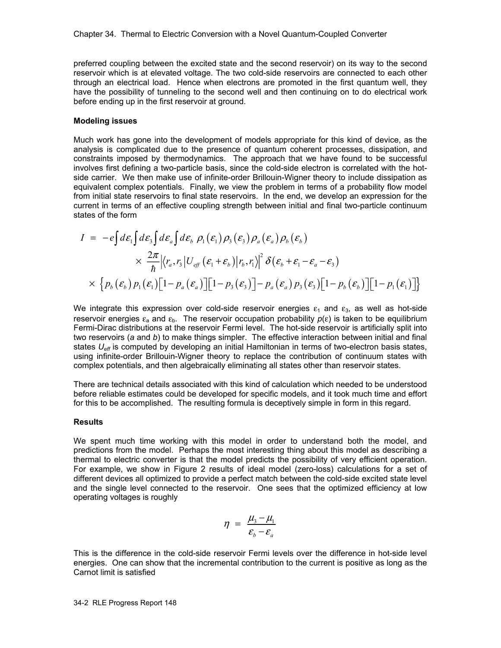preferred coupling between the excited state and the second reservoir) on its way to the second reservoir which is at elevated voltage. The two cold-side reservoirs are connected to each other through an electrical load. Hence when electrons are promoted in the first quantum well, they have the possibility of tunneling to the second well and then continuing on to do electrical work before ending up in the first reservoir at ground.

### **Modeling issues**

Much work has gone into the development of models appropriate for this kind of device, as the analysis is complicated due to the presence of quantum coherent processes, dissipation, and constraints imposed by thermodynamics. The approach that we have found to be successful involves first defining a two-particle basis, since the cold-side electron is correlated with the hotside carrier. We then make use of infinite-order Brillouin-Wigner theory to include dissipation as equivalent complex potentials. Finally, we view the problem in terms of a probability flow model from initial state reservoirs to final state reservoirs. In the end, we develop an expression for the current in terms of an effective coupling strength between initial and final two-particle continuum states of the form

$$
I = -e\int d\varepsilon_1 \int d\varepsilon_3 \int d\varepsilon_a \int d\varepsilon_b \, \rho_1(\varepsilon_1) \rho_3(\varepsilon_3) \rho_a(\varepsilon_a) \rho_b(\varepsilon_b)
$$
  
 
$$
\times \frac{2\pi}{\hbar} \left| \langle r_a, r_3 | U_{eff} (\varepsilon_1 + \varepsilon_b) | r_b, r_i \rangle \right|^2 \delta(\varepsilon_b + \varepsilon_1 - \varepsilon_a - \varepsilon_3)
$$
  
 
$$
\times \left\{ p_b(\varepsilon_b) p_1(\varepsilon_1) \left[ 1 - p_a(\varepsilon_a) \right] \left[ 1 - p_3(\varepsilon_3) \right] - p_a(\varepsilon_a) p_3(\varepsilon_3) \left[ 1 - p_b(\varepsilon_b) \right] \left[ 1 - p_1(\varepsilon_1) \right] \right\}
$$

We integrate this expression over cold-side reservoir energies  $\varepsilon_1$  and  $\varepsilon_3$ , as well as hot-side reservoir energies  $\varepsilon_a$  and  $\varepsilon_b$ . The reservoir occupation probability  $p(\varepsilon)$  is taken to be equilibrium Fermi-Dirac distributions at the reservoir Fermi level. The hot-side reservoir is artificially split into two reservoirs (*a* and *b*) to make things simpler. The effective interaction between initial and final states  $U_{\text{eff}}$  is computed by developing an initial Hamiltonian in terms of two-electron basis states, using infinite-order Brillouin-Wigner theory to replace the contribution of continuum states with complex potentials, and then algebraically eliminating all states other than reservoir states.

There are technical details associated with this kind of calculation which needed to be understood before reliable estimates could be developed for specific models, and it took much time and effort for this to be accomplished. The resulting formula is deceptively simple in form in this regard.

## **Results**

We spent much time working with this model in order to understand both the model, and predictions from the model. Perhaps the most interesting thing about this model as describing a thermal to electric converter is that the model predicts the possibility of very efficient operation. For example, we show in Figure 2 results of ideal model (zero-loss) calculations for a set of different devices all optimized to provide a perfect match between the cold-side excited state level and the single level connected to the reservoir. One sees that the optimized efficiency at low operating voltages is roughly

$$
\eta = \frac{\mu_3 - \mu_1}{\varepsilon_b - \varepsilon_a}
$$

This is the difference in the cold-side reservoir Fermi levels over the difference in hot-side level energies. One can show that the incremental contribution to the current is positive as long as the Carnot limit is satisfied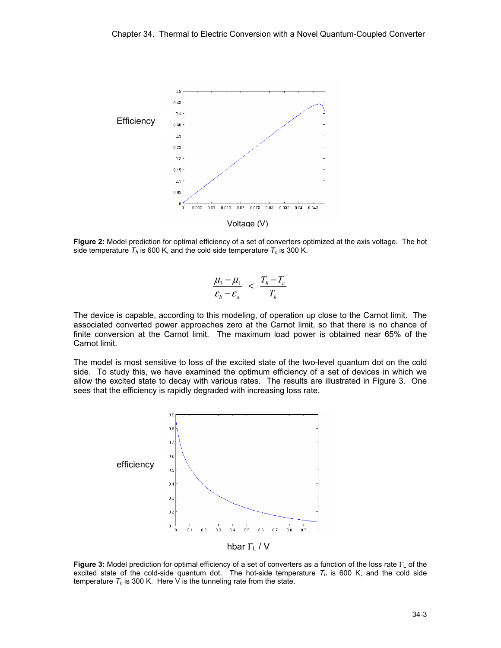

**Figure 2:** Model prediction for optimal efficiency of a set of converters optimized at the axis voltage. The hot side temperature  $T_h$  is 600 K, and the cold side temperature  $T_c$  is 300 K.

$$
\frac{\mu_3 - \mu_1}{\varepsilon_b - \varepsilon_a} < \frac{T_h - T_c}{T_h}
$$

The device is capable, according to this modeling, of operation up close to the Carnot limit. The associated converted power approaches zero at the Carnot limit, so that there is no chance of finite conversion at the Carnot limit. The maximum load power is obtained near 65% of the Carnot limit.

The model is most sensitive to loss of the excited state of the two-level quantum dot on the cold side. To study this, we have examined the optimum efficiency of a set of devices in which we allow the excited state to decay with various rates. The results are illustrated in Figure 3. One sees that the efficiency is rapidly degraded with increasing loss rate.



hbar  $\Gamma$ <sub>L</sub> / V

**Figure 3:** Model prediction for optimal efficiency of a set of converters as a function of the loss rate Γι of the excited state of the cold-side quantum dot. The hot-side temperature  $T<sub>h</sub>$  is 600 K, and the cold side temperature  $T_c$  is 300 K. Here V is the tunneling rate from the state.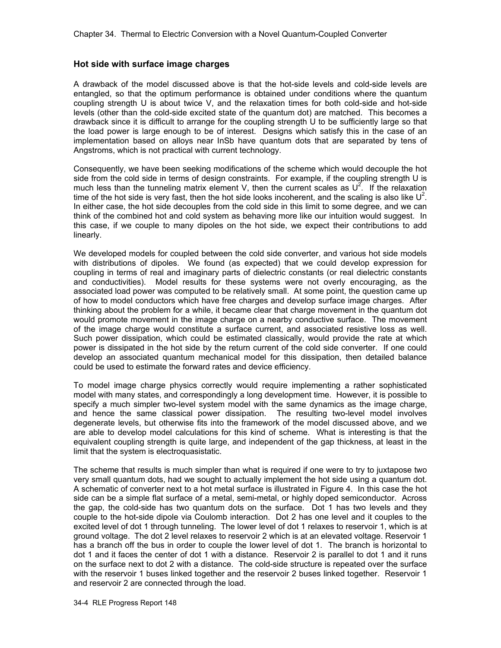# **Hot side with surface image charges**

A drawback of the model discussed above is that the hot-side levels and cold-side levels are entangled, so that the optimum performance is obtained under conditions where the quantum coupling strength U is about twice V, and the relaxation times for both cold-side and hot-side levels (other than the cold-side excited state of the quantum dot) are matched. This becomes a drawback since it is difficult to arrange for the coupling strength U to be sufficiently large so that the load power is large enough to be of interest. Designs which satisfy this in the case of an implementation based on alloys near InSb have quantum dots that are separated by tens of Angstroms, which is not practical with current technology.

Consequently, we have been seeking modifications of the scheme which would decouple the hot side from the cold side in terms of design constraints. For example, if the coupling strength U is much less than the tunneling matrix element V, then the current scales as  $U^2$ . If the relaxation time of the hot side is very fast, then the hot side looks incoherent, and the scaling is also like  $U^2$ . In either case, the hot side decouples from the cold side in this limit to some degree, and we can think of the combined hot and cold system as behaving more like our intuition would suggest. In this case, if we couple to many dipoles on the hot side, we expect their contributions to add linearly.

We developed models for coupled between the cold side converter, and various hot side models with distributions of dipoles. We found (as expected) that we could develop expression for coupling in terms of real and imaginary parts of dielectric constants (or real dielectric constants and conductivities). Model results for these systems were not overly encouraging, as the associated load power was computed to be relatively small. At some point, the question came up of how to model conductors which have free charges and develop surface image charges. After thinking about the problem for a while, it became clear that charge movement in the quantum dot would promote movement in the image charge on a nearby conductive surface. The movement of the image charge would constitute a surface current, and associated resistive loss as well. Such power dissipation, which could be estimated classically, would provide the rate at which power is dissipated in the hot side by the return current of the cold side converter. If one could develop an associated quantum mechanical model for this dissipation, then detailed balance could be used to estimate the forward rates and device efficiency.

To model image charge physics correctly would require implementing a rather sophisticated model with many states, and correspondingly a long development time. However, it is possible to specify a much simpler two-level system model with the same dynamics as the image charge, and hence the same classical power dissipation. The resulting two-level model involves degenerate levels, but otherwise fits into the framework of the model discussed above, and we are able to develop model calculations for this kind of scheme. What is interesting is that the equivalent coupling strength is quite large, and independent of the gap thickness, at least in the limit that the system is electroquasistatic.

The scheme that results is much simpler than what is required if one were to try to juxtapose two very small quantum dots, had we sought to actually implement the hot side using a quantum dot. A schematic of converter next to a hot metal surface is illustrated in Figure 4. In this case the hot side can be a simple flat surface of a metal, semi-metal, or highly doped semiconductor. Across the gap, the cold-side has two quantum dots on the surface. Dot 1 has two levels and they couple to the hot-side dipole via Coulomb interaction. Dot 2 has one level and it couples to the excited level of dot 1 through tunneling. The lower level of dot 1 relaxes to reservoir 1, which is at ground voltage. The dot 2 level relaxes to reservoir 2 which is at an elevated voltage. Reservoir 1 has a branch off the bus in order to couple the lower level of dot 1. The branch is horizontal to dot 1 and it faces the center of dot 1 with a distance. Reservoir 2 is parallel to dot 1 and it runs on the surface next to dot 2 with a distance. The cold-side structure is repeated over the surface with the reservoir 1 buses linked together and the reservoir 2 buses linked together. Reservoir 1 and reservoir 2 are connected through the load.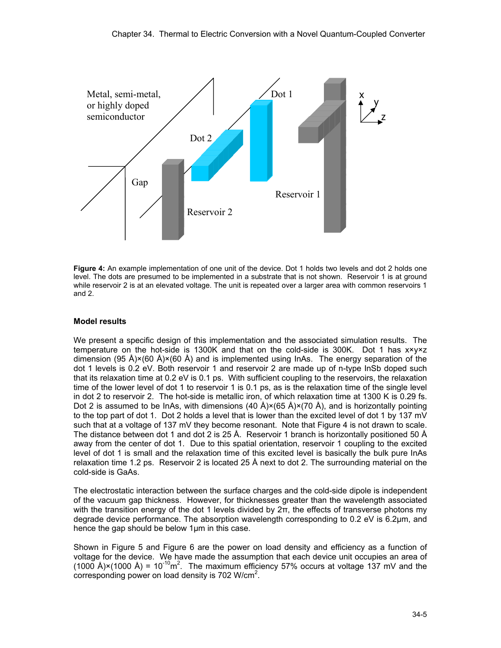

**Figure 4:** An example implementation of one unit of the device. Dot 1 holds two levels and dot 2 holds one level. The dots are presumed to be implemented in a substrate that is not shown. Reservoir 1 is at ground while reservoir 2 is at an elevated voltage. The unit is repeated over a larger area with common reservoirs 1 and 2.

# **Model results**

We present a specific design of this implementation and the associated simulation results. The temperature on the hot-side is 1300K and that on the cold-side is 300K. Dot 1 has x×y×z dimension (95 Å)×(60 Å)×(60 Å) and is implemented using lnAs. The energy separation of the dot 1 levels is 0.2 eV. Both reservoir 1 and reservoir 2 are made up of n-type InSb doped such that its relaxation time at 0.2 eV is 0.1 ps. With sufficient coupling to the reservoirs, the relaxation time of the lower level of dot 1 to reservoir 1 is 0.1 ps, as is the relaxation time of the single level in dot 2 to reservoir 2. The hot-side is metallic iron, of which relaxation time at 1300 K is 0.29 fs. Dot 2 is assumed to be InAs, with dimensions  $(40 \text{ Å})\times(65 \text{ Å})\times(70 \text{ Å})$ , and is horizontally pointing to the top part of dot 1. Dot 2 holds a level that is lower than the excited level of dot 1 by 137 mV such that at a voltage of 137 mV they become resonant. Note that Figure 4 is not drawn to scale. The distance between dot 1 and dot 2 is 25 Å. Reservoir 1 branch is horizontally positioned 50 Å away from the center of dot 1. Due to this spatial orientation, reservoir 1 coupling to the excited level of dot 1 is small and the relaxation time of this excited level is basically the bulk pure InAs relaxation time 1.2 ps. Reservoir 2 is located 25 Å next to dot 2. The surrounding material on the cold-side is GaAs.

The electrostatic interaction between the surface charges and the cold-side dipole is independent of the vacuum gap thickness. However, for thicknesses greater than the wavelength associated with the transition energy of the dot 1 levels divided by  $2\pi$ , the effects of transverse photons my degrade device performance. The absorption wavelength corresponding to 0.2 eV is 6.2µm, and hence the gap should be below 1µm in this case.

Shown in Figure 5 and Figure 6 are the power on load density and efficiency as a function of voltage for the device. We have made the assumption that each device unit occupies an area of (1000 Å)×(1000 Å) = 10<sup>-10</sup>m<sup>2</sup>. The maximum efficiency 57% occurs at voltage 137 mV and the corresponding power on load density is 702 W/cm<sup>2</sup>.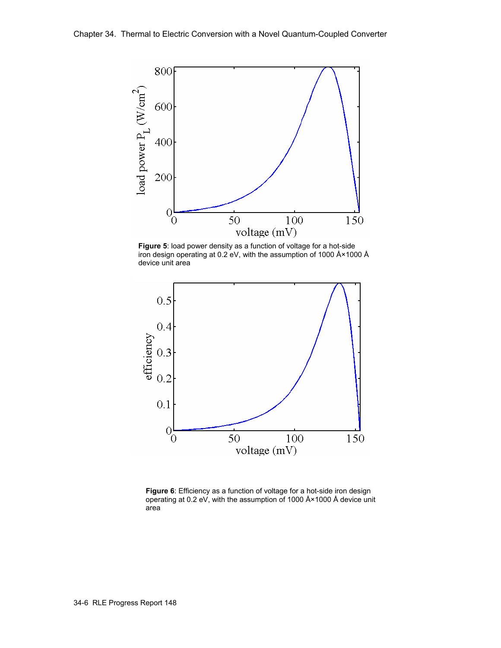

**Figure 5**: load power density as a function of voltage for a hot-side iron design operating at 0.2 eV, with the assumption of 1000 Å×1000 Å device unit area



**Figure 6**: Efficiency as a function of voltage for a hot-side iron design operating at 0.2 eV, with the assumption of 1000 Å×1000 Å device unit area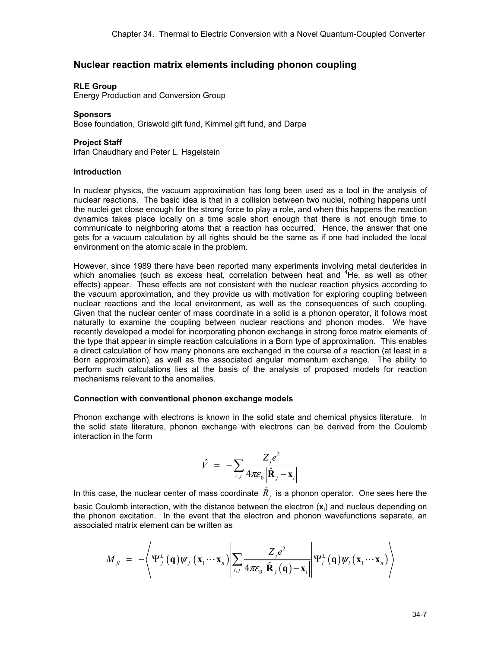# **Nuclear reaction matrix elements including phonon coupling**

## **RLE Group**

Energy Production and Conversion Group

## **Sponsors**

Bose foundation, Griswold gift fund, Kimmel gift fund, and Darpa

# **Project Staff**

Irfan Chaudhary and Peter L. Hagelstein

# **Introduction**

In nuclear physics, the vacuum approximation has long been used as a tool in the analysis of nuclear reactions. The basic idea is that in a collision between two nuclei, nothing happens until the nuclei get close enough for the strong force to play a role, and when this happens the reaction dynamics takes place locally on a time scale short enough that there is not enough time to communicate to neighboring atoms that a reaction has occurred. Hence, the answer that one gets for a vacuum calculation by all rights should be the same as if one had included the local environment on the atomic scale in the problem.

However, since 1989 there have been reported many experiments involving metal deuterides in which anomalies (such as excess heat, correlation between heat and <sup>4</sup>He, as well as other effects) appear. These effects are not consistent with the nuclear reaction physics according to the vacuum approximation, and they provide us with motivation for exploring coupling between nuclear reactions and the local environment, as well as the consequences of such coupling. Given that the nuclear center of mass coordinate in a solid is a phonon operator, it follows most naturally to examine the coupling between nuclear reactions and phonon modes. We have recently developed a model for incorporating phonon exchange in strong force matrix elements of the type that appear in simple reaction calculations in a Born type of approximation. This enables a direct calculation of how many phonons are exchanged in the course of a reaction (at least in a Born approximation), as well as the associated angular momentum exchange. The ability to perform such calculations lies at the basis of the analysis of proposed models for reaction mechanisms relevant to the anomalies.

## **Connection with conventional phonon exchange models**

Phonon exchange with electrons is known in the solid state and chemical physics literature. In the solid state literature, phonon exchange with electrons can be derived from the Coulomb interaction in the form

$$
\hat{V} = -\sum_{i,j} \frac{Z_j e^2}{4\pi \varepsilon_0 |\hat{\mathbf{R}}_j - \mathbf{x}_i|}
$$

In this case, the nuclear center of mass coordinate  $\hat{R}_j^+$  is a phonon operator. One sees here the basic Coulomb interaction, with the distance between the electron (**x**<sup>i</sup> ) and nucleus depending on the phonon excitation. In the event that the electron and phonon wavefunctions separate, an associated matrix element can be written as

$$
M_{\hat{\mu}} = -\left\langle \Psi_{f}^{L}(\mathbf{q}) \psi_{f}(\mathbf{x}_{1} \cdots \mathbf{x}_{n}) \middle| \sum_{i,j} \frac{Z_{j} e^{2}}{4 \pi \varepsilon_{0} \left| \hat{\mathbf{R}}_{j}(\mathbf{q}) - \mathbf{x}_{i} \right|} \middle| \Psi_{i}^{L}(\mathbf{q}) \psi_{i}(\mathbf{x}_{1} \cdots \mathbf{x}_{n}) \right\rangle
$$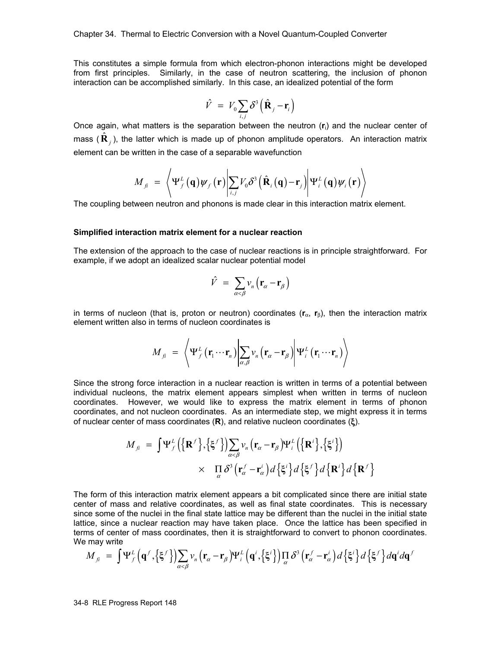This constitutes a simple formula from which electron-phonon interactions might be developed from first principles. Similarly, in the case of neutron scattering, the inclusion of phonon interaction can be accomplished similarly. In this case, an idealized potential of the form

$$
\hat{V} = V_0 \sum_{i,j} \delta^3 \left( \hat{\mathbf{R}}_j - \mathbf{r}_i \right)
$$

Once again, what matters is the separation between the neutron (**r**<sup>i</sup> ) and the nuclear center of mass ( $\hat{\textbf{R}}_j$ ), the latter which is made up of phonon amplitude operators. An interaction matrix element can be written in the case of a separable wavefunction

$$
M_{\hat{\mu}} = \left\langle \Psi_{f}^{L}(\mathbf{q}) \psi_{f}(\mathbf{r}) \middle| \sum_{i,j} V_{0} \delta^{3} (\hat{\mathbf{R}}_{i}(\mathbf{q}) - \mathbf{r}_{j}) \middle| \Psi_{i}^{L}(\mathbf{q}) \psi_{i}(\mathbf{r}) \right\rangle
$$

The coupling between neutron and phonons is made clear in this interaction matrix element.

#### **Simplified interaction matrix element for a nuclear reaction**

The extension of the approach to the case of nuclear reactions is in principle straightforward. For example, if we adopt an idealized scalar nuclear potential model

$$
\hat{V} = \sum_{\alpha < \beta} v_n \left( \mathbf{r}_{\alpha} - \mathbf{r}_{\beta} \right)
$$

in terms of nucleon (that is, proton or neutron) coordinates (**r**<sub>α</sub>, **r**<sub>β</sub>), then the interaction matrix element written also in terms of nucleon coordinates is

$$
M_{fi} = \left\langle \Psi_{f}^{L}(\mathbf{r}_{1} \cdots \mathbf{r}_{n}) \middle| \sum_{\alpha,\beta} v_{n}(\mathbf{r}_{\alpha} - \mathbf{r}_{\beta}) \middle| \Psi_{i}^{L}(\mathbf{r}_{1} \cdots \mathbf{r}_{n}) \right\rangle
$$

Since the strong force interaction in a nuclear reaction is written in terms of a potential between individual nucleons, the matrix element appears simplest when written in terms of nucleon coordinates. However, we would like to express the matrix element in terms of phonon coordinates, and not nucleon coordinates. As an intermediate step, we might express it in terms of nuclear center of mass coordinates (**R**), and relative nucleon coordinates (ξ).

$$
M_{\hat{\beta}} = \int \Psi_{f}^{L} \Big( \big\{ \mathbf{R}^{f} \big\} , \big\{ \xi^{f} \big\} \Big) \sum_{\alpha < \beta} v_{n} \big( \mathbf{r}_{\alpha} - \mathbf{r}_{\beta} \big) \Psi_{i}^{L} \Big( \big\{ \mathbf{R}^{i} \big\} , \big\{ \xi^{i} \big\} \Big)
$$
  
 
$$
\times \prod_{\alpha} \delta^{3} \big( \mathbf{r}_{\alpha}^{f} - \mathbf{r}_{\alpha}^{i} \big) d \big\{ \xi^{i} \big\} d \big\{ \xi^{f} \big\} d \big\{ \mathbf{R}^{i} \big\} d \big\{ \mathbf{R}^{i} \big\}
$$

The form of this interaction matrix element appears a bit complicated since there are initial state center of mass and relative coordinates, as well as final state coordinates. This is necessary since some of the nuclei in the final state lattice may be different than the nuclei in the initial state lattice, since a nuclear reaction may have taken place. Once the lattice has been specified in terms of center of mass coordinates, then it is straightforward to convert to phonon coordinates. We may write

$$
M_{fi} = \int \Psi_{f}^{L} \left( \mathbf{q}^{f}, \left\{ \xi^{f} \right\} \right) \sum_{\alpha < \beta} v_{n} \left( \mathbf{r}_{\alpha} - \mathbf{r}_{\beta} \right) \Psi_{i}^{L} \left( \mathbf{q}^{i}, \left\{ \xi^{i} \right\} \right) \prod_{\alpha} \delta^{3} \left( \mathbf{r}_{\alpha}^{f} - \mathbf{r}_{\alpha}^{i} \right) d \left\{ \xi^{i} \right\} d \left\{ \xi^{f} \right\} d \mathbf{q}^{i} d \mathbf{q}^{f}
$$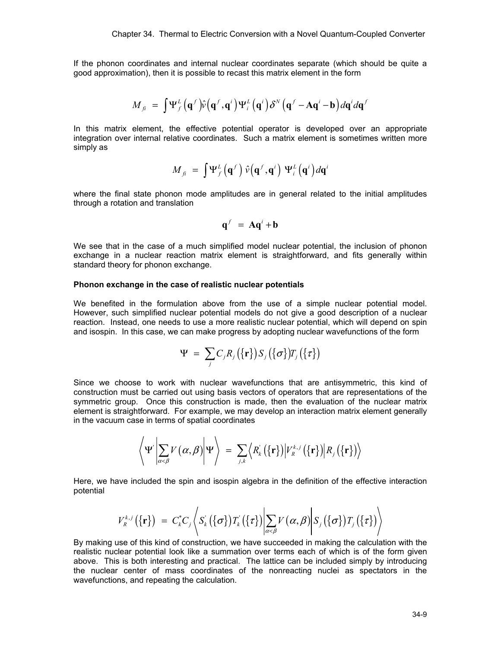If the phonon coordinates and internal nuclear coordinates separate (which should be quite a good approximation), then it is possible to recast this matrix element in the form

$$
M_{\hat{\mu}} = \int \Psi_{f}^{L} (\mathbf{q}^{f}) \hat{v} (\mathbf{q}^{f}, \mathbf{q}^{i}) \Psi_{i}^{L} (\mathbf{q}^{i}) \delta^{N} (\mathbf{q}^{f} - \mathbf{A} \mathbf{q}^{i} - \mathbf{b}) d\mathbf{q}^{i} d\mathbf{q}^{f}
$$

In this matrix element, the effective potential operator is developed over an appropriate integration over internal relative coordinates. Such a matrix element is sometimes written more simply as

$$
M_{fi} = \int \Psi_{f}^{L} (\mathbf{q}^{f}) \hat{v} (\mathbf{q}^{f}, \mathbf{q}^{i}) \Psi_{i}^{L} (\mathbf{q}^{i}) d\mathbf{q}^{i}
$$

where the final state phonon mode amplitudes are in general related to the initial amplitudes through a rotation and translation

$$
\mathbf{q}^f = \mathbf{A}\mathbf{q}^i + \mathbf{b}
$$

We see that in the case of a much simplified model nuclear potential, the inclusion of phonon exchange in a nuclear reaction matrix element is straightforward, and fits generally within standard theory for phonon exchange.

#### **Phonon exchange in the case of realistic nuclear potentials**

We benefited in the formulation above from the use of a simple nuclear potential model. However, such simplified nuclear potential models do not give a good description of a nuclear reaction. Instead, one needs to use a more realistic nuclear potential, which will depend on spin and isospin. In this case, we can make progress by adopting nuclear wavefunctions of the form

$$
\Psi = \sum_j C_j R_j(\{\mathbf{r}\}) S_j(\{\sigma\}) T_j(\{\tau\})
$$

Since we choose to work with nuclear wavefunctions that are antisymmetric, this kind of construction must be carried out using basis vectors of operators that are representations of the symmetric group. Once this construction is made, then the evaluation of the nuclear matrix element is straightforward. For example, we may develop an interaction matrix element generally in the vacuum case in terms of spatial coordinates

$$
\left\langle \Psi^{'}\bigg| \sum_{\alpha<\beta} V(\alpha,\beta)\bigg| \Psi\right\rangle = \sum_{j,k} \left\langle R_{k}^{'}(\{\mathbf{r}\})\big| V_{R}^{k,j}(\{\mathbf{r}\})\big| R_{j}(\{\mathbf{r}\})\right\rangle
$$

Here, we have included the spin and isospin algebra in the definition of the effective interaction potential

$$
V_k^{k,j}(\{\mathbf{r}\}) = C_k^*C_j \left\langle S_k(\{\sigma\}) T_k(\{\tau\}) \Big| \sum_{\alpha < \beta} V(\alpha, \beta) \Big| S_j(\{\sigma\}) T_j(\{\tau\}) \right\rangle
$$

By making use of this kind of construction, we have succeeded in making the calculation with the realistic nuclear potential look like a summation over terms each of which is of the form given above. This is both interesting and practical. The lattice can be included simply by introducing the nuclear center of mass coordinates of the nonreacting nuclei as spectators in the wavefunctions, and repeating the calculation.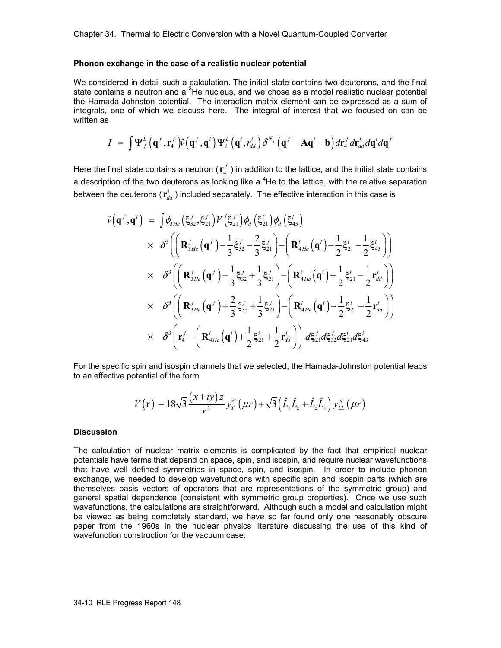#### **Phonon exchange in the case of a realistic nuclear potential**

We considered in detail such a calculation. The initial state contains two deuterons, and the final state contains a neutron and a <sup>3</sup>He nucleus, and we chose as a model realistic nuclear potential the Hamada-Johnston potential. The interaction matrix element can be expressed as a sum of integrals, one of which we discuss here. The integral of interest that we focused on can be written as

$$
I = \int \Psi_{f}^{L} \left( \mathbf{q}^{f}, \mathbf{r}_{4}^{f} \right) \hat{v} \left( \mathbf{q}^{f}, \mathbf{q}^{i} \right) \Psi_{i}^{L} \left( \mathbf{q}^{i}, r_{dd}^{i} \right) \delta^{N_{q}} \left( \mathbf{q}^{f} - \mathbf{A} \mathbf{q}^{i} - \mathbf{b} \right) d\mathbf{r}_{4}^{f} d\mathbf{r}_{dd}^{i} d\mathbf{q}^{i} d\mathbf{q}^{f}
$$

Here the final state contains a neutron  $(\mathbf{r}_4^f)$  in addition to the lattice, and the initial state contains a description of the two deuterons as looking like a  $4$ He to the lattice, with the relative separation between the deuterons ( $\mathbf{r}^i_{dd}$  ) included separately. The effective interaction in this case is

$$
\hat{v}(\mathbf{q}^f, \mathbf{q}^i) = \int \phi_{3He} \left( \xi_{32}^f, \xi_{21}^f \right) V \left( \xi_{21}^f \right) \phi_d \left( \xi_{41}^i \right) \times \delta^3 \left( \left( \mathbf{R}_{3He}^f \left( \mathbf{q}^f \right) - \frac{1}{3} \xi_{32}^f - \frac{2}{3} \xi_{21}^f \right) - \left( \mathbf{R}_{4He}^i \left( \mathbf{q}^i \right) - \frac{1}{2} \xi_{21}^i - \frac{1}{2} \xi_{43}^i \right) \right) \times \delta^3 \left( \left( \mathbf{R}_{3He}^f \left( \mathbf{q}^f \right) - \frac{1}{3} \xi_{32}^f + \frac{1}{3} \xi_{21}^f \right) - \left( \mathbf{R}_{4He}^i \left( \mathbf{q}^i \right) + \frac{1}{2} \xi_{21}^i - \frac{1}{2} \mathbf{r}_{dd}^i \right) \right) \times \delta^3 \left( \left( \mathbf{R}_{3He}^f \left( \mathbf{q}^f \right) + \frac{2}{3} \xi_{32}^f + \frac{1}{3} \xi_{21}^f \right) - \left( \mathbf{R}_{4He}^i \left( \mathbf{q}^i \right) - \frac{1}{2} \xi_{21}^i - \frac{1}{2} \mathbf{r}_{dd}^i \right) \right) \times \delta^3 \left( \mathbf{r}_4^f - \left( \mathbf{R}_{4He}^i \left( \mathbf{q}^i \right) + \frac{1}{2} \xi_{21}^i + \frac{1}{2} \mathbf{r}_{dd}^i \right) \right) d \xi_{21}^f d \xi_{32}^f d \xi_{21}^i d \xi_{43}^i
$$

For the specific spin and isospin channels that we selected, the Hamada-Johnston potential leads to an effective potential of the form

$$
V(\mathbf{r}) = 18\sqrt{3} \frac{(x+iy)z}{r^2} y_T^{et}(\mu r) + \sqrt{3} (\hat{L}_+ \hat{L}_z + \hat{L}_z \hat{L}_+) y_{LL}^{et}(\mu r)
$$

#### **Discussion**

The calculation of nuclear matrix elements is complicated by the fact that empirical nuclear potentials have terms that depend on space, spin, and isospin, and require nuclear wavefunctions that have well defined symmetries in space, spin, and isospin. In order to include phonon exchange, we needed to develop wavefunctions with specific spin and isospin parts (which are themselves basis vectors of operators that are representations of the symmetric group) and general spatial dependence (consistent with symmetric group properties). Once we use such wavefunctions, the calculations are straightforward. Although such a model and calculation might be viewed as being completely standard, we have so far found only one reasonably obscure paper from the 1960s in the nuclear physics literature discussing the use of this kind of wavefunction construction for the vacuum case.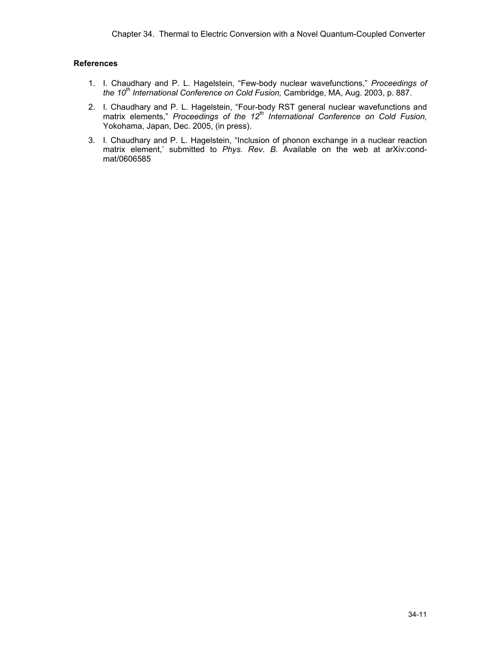# **References**

- 1. I. Chaudhary and P. L. Hagelstein, "Few-body nuclear wavefunctions," *Proceedings of the 10th International Conference on Cold Fusion,* Cambridge, MA, Aug. 2003, p. 887.
- 2. I. Chaudhary and P. L. Hagelstein, "Four-body RST general nuclear wavefunctions and matrix elements," *Proceedings of the 12th International Conference on Cold Fusion,* Yokohama, Japan, Dec. 2005, (in press).
- 3. I. Chaudhary and P. L. Hagelstein, "Inclusion of phonon exchange in a nuclear reaction matrix element,' submitted to *Phys. Rev. B.* Available on the web at arXiv:condmat/0606585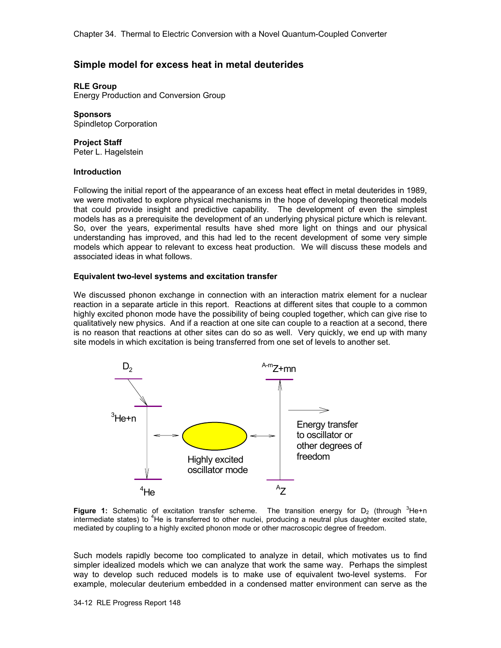# **Simple model for excess heat in metal deuterides**

## **RLE Group**

Energy Production and Conversion Group

**Sponsors**  Spindletop Corporation

**Project Staff** 

Peter L. Hagelstein

### **Introduction**

Following the initial report of the appearance of an excess heat effect in metal deuterides in 1989, we were motivated to explore physical mechanisms in the hope of developing theoretical models that could provide insight and predictive capability. The development of even the simplest models has as a prerequisite the development of an underlying physical picture which is relevant. So, over the years, experimental results have shed more light on things and our physical understanding has improved, and this had led to the recent development of some very simple models which appear to relevant to excess heat production. We will discuss these models and associated ideas in what follows.

### **Equivalent two-level systems and excitation transfer**

We discussed phonon exchange in connection with an interaction matrix element for a nuclear reaction in a separate article in this report. Reactions at different sites that couple to a common highly excited phonon mode have the possibility of being coupled together, which can give rise to qualitatively new physics. And if a reaction at one site can couple to a reaction at a second, there is no reason that reactions at other sites can do so as well. Very quickly, we end up with many site models in which excitation is being transferred from one set of levels to another set.



**Figure 1:** Schematic of excitation transfer scheme. The transition energy for  $D_2$  (through  ${}^{3}$ He+n intermediate states) to <sup>4</sup>He is transferred to other nuclei, producing a neutral plus daughter excited state, mediated by coupling to a highly excited phonon mode or other macroscopic degree of freedom.

Such models rapidly become too complicated to analyze in detail, which motivates us to find simpler idealized models which we can analyze that work the same way. Perhaps the simplest way to develop such reduced models is to make use of equivalent two-level systems. For example, molecular deuterium embedded in a condensed matter environment can serve as the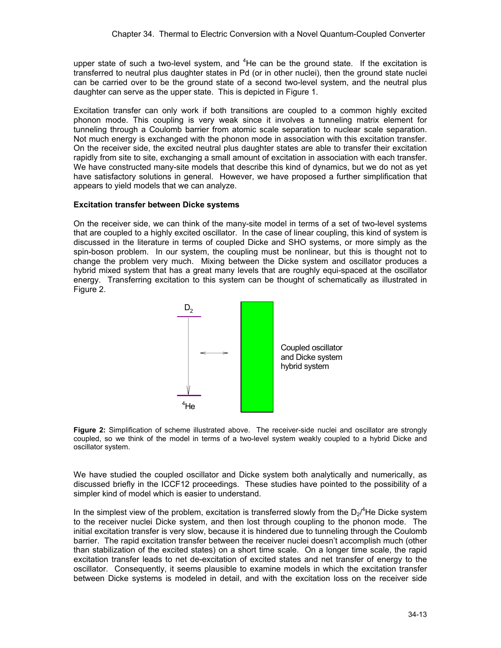upper state of such a two-level system, and  ${}^{4}$ He can be the ground state. If the excitation is transferred to neutral plus daughter states in Pd (or in other nuclei), then the ground state nuclei can be carried over to be the ground state of a second two-level system, and the neutral plus daughter can serve as the upper state. This is depicted in Figure 1.

Excitation transfer can only work if both transitions are coupled to a common highly excited phonon mode. This coupling is very weak since it involves a tunneling matrix element for tunneling through a Coulomb barrier from atomic scale separation to nuclear scale separation. Not much energy is exchanged with the phonon mode in association with this excitation transfer. On the receiver side, the excited neutral plus daughter states are able to transfer their excitation rapidly from site to site, exchanging a small amount of excitation in association with each transfer. We have constructed many-site models that describe this kind of dynamics, but we do not as yet have satisfactory solutions in general. However, we have proposed a further simplification that appears to yield models that we can analyze.

# **Excitation transfer between Dicke systems**

On the receiver side, we can think of the many-site model in terms of a set of two-level systems that are coupled to a highly excited oscillator. In the case of linear coupling, this kind of system is discussed in the literature in terms of coupled Dicke and SHO systems, or more simply as the spin-boson problem. In our system, the coupling must be nonlinear, but this is thought not to change the problem very much. Mixing between the Dicke system and oscillator produces a hybrid mixed system that has a great many levels that are roughly equi-spaced at the oscillator energy. Transferring excitation to this system can be thought of schematically as illustrated in Figure 2.



**Figure 2:** Simplification of scheme illustrated above. The receiver-side nuclei and oscillator are strongly coupled, so we think of the model in terms of a two-level system weakly coupled to a hybrid Dicke and oscillator system.

We have studied the coupled oscillator and Dicke system both analytically and numerically, as discussed briefly in the ICCF12 proceedings. These studies have pointed to the possibility of a simpler kind of model which is easier to understand.

In the simplest view of the problem, excitation is transferred slowly from the  $D_2$ <sup>4</sup>He Dicke system to the receiver nuclei Dicke system, and then lost through coupling to the phonon mode. The initial excitation transfer is very slow, because it is hindered due to tunneling through the Coulomb barrier. The rapid excitation transfer between the receiver nuclei doesn't accomplish much (other than stabilization of the excited states) on a short time scale. On a longer time scale, the rapid excitation transfer leads to net de-excitation of excited states and net transfer of energy to the oscillator. Consequently, it seems plausible to examine models in which the excitation transfer between Dicke systems is modeled in detail, and with the excitation loss on the receiver side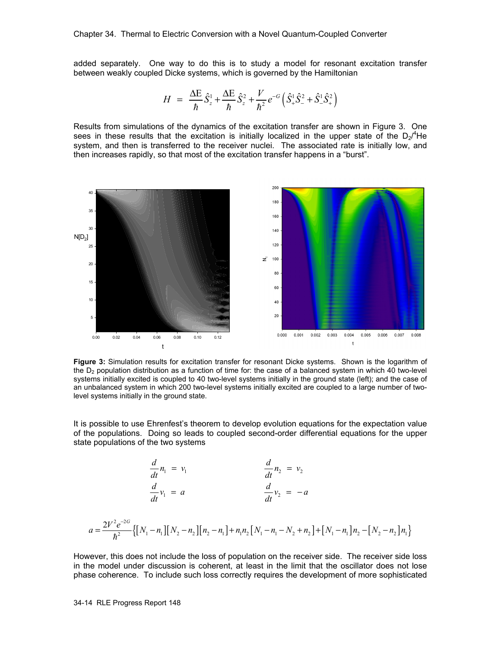added separately. One way to do this is to study a model for resonant excitation transfer between weakly coupled Dicke systems, which is governed by the Hamiltonian

$$
H = \frac{\Delta E}{\hbar} \hat{S}_z^1 + \frac{\Delta E}{\hbar} \hat{S}_z^2 + \frac{V}{\hbar^2} e^{-G} \left( \hat{S}_+^1 \hat{S}_-^2 + \hat{S}_-^1 \hat{S}_+^2 \right)
$$

Results from simulations of the dynamics of the excitation transfer are shown in Figure 3. One sees in these results that the excitation is initially localized in the upper state of the  $D_2$ <sup>4</sup>He system, and then is transferred to the receiver nuclei. The associated rate is initially low, and then increases rapidly, so that most of the excitation transfer happens in a "burst".



**Figure 3:** Simulation results for excitation transfer for resonant Dicke systems. Shown is the logarithm of the  $D<sub>2</sub>$  population distribution as a function of time for: the case of a balanced system in which 40 two-level systems initially excited is coupled to 40 two-level systems initially in the ground state (left); and the case of an unbalanced system in which 200 two-level systems initially excited are coupled to a large number of twolevel systems initially in the ground state.

It is possible to use Ehrenfest's theorem to develop evolution equations for the expectation value of the populations. Doing so leads to coupled second-order differential equations for the upper state populations of the two systems

$$
\frac{d}{dt}n_1 = v_1
$$
\n
$$
\frac{d}{dt}v_2 = v_2
$$
\n
$$
\frac{d}{dt}v_1 = a
$$
\n
$$
\frac{d}{dt}v_2 = -a
$$
\n
$$
a = \frac{2V^2e^{-2G}}{\hbar^2} \left[ [N_1 - n_1][N_2 - n_2][n_2 - n_1] + n_1n_2[N_1 - n_1 - N_2 + n_2] + [N_1 - n_1]n_2 - [N_2 - n_2]n_1 \right]
$$

However, this does not include the loss of population on the receiver side. The receiver side loss in the model under discussion is coherent, at least in the limit that the oscillator does not lose phase coherence. To include such loss correctly requires the development of more sophisticated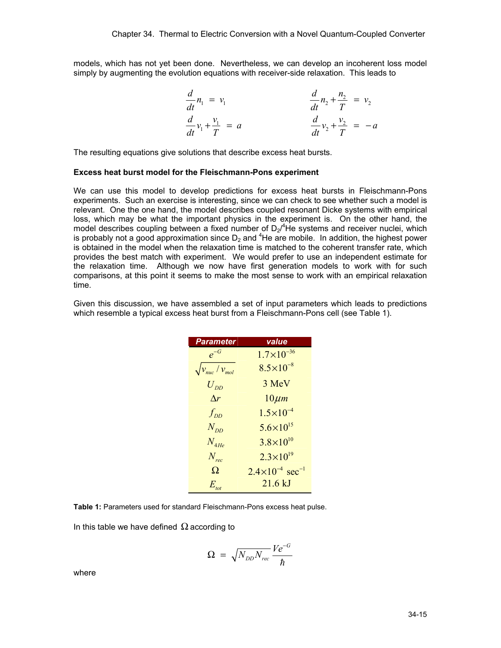models, which has not yet been done. Nevertheless, we can develop an incoherent loss model simply by augmenting the evolution equations with receiver-side relaxation. This leads to

$$
\frac{d}{dt}n_1 = v_1
$$
\n
$$
\frac{d}{dt}n_2 + \frac{n_2}{T} = v_2
$$
\n
$$
\frac{d}{dt}v_1 + \frac{v_1}{T} = a
$$
\n
$$
\frac{d}{dt}v_2 + \frac{v_2}{T} = -a
$$

The resulting equations give solutions that describe excess heat bursts.

#### **Excess heat burst model for the Fleischmann-Pons experiment**

We can use this model to develop predictions for excess heat bursts in Fleischmann-Pons experiments. Such an exercise is interesting, since we can check to see whether such a model is relevant. One the one hand, the model describes coupled resonant Dicke systems with empirical loss, which may be what the important physics in the experiment is. On the other hand, the model describes coupling between a fixed number of  $D_2$ <sup>4</sup>He systems and receiver nuclei, which is probably not a good approximation since  $D_2$  and <sup>4</sup>He are mobile. In addition, the highest power is obtained in the model when the relaxation time is matched to the coherent transfer rate, which provides the best match with experiment. We would prefer to use an independent estimate for the relaxation time. Although we now have first generation models to work with for such comparisons, at this point it seems to make the most sense to work with an empirical relaxation time.

Given this discussion, we have assembled a set of input parameters which leads to predictions which resemble a typical excess heat burst from a Fleischmann-Pons cell (see Table 1).

| <b>Parameter</b>                 | value                                  |
|----------------------------------|----------------------------------------|
| $e^{-G}$                         | $1.7\times10^{-36}$                    |
| $\sqrt{v_{\rm nuc}/v_{\rm mol}}$ | $8.5 \times 10^{-8}$                   |
| $U_{\scriptscriptstyle DD}$      | 3 MeV                                  |
| $\Lambda r$                      | $10 \mu m$                             |
| $f_{DD}$                         | $1.5 \times 10^{-4}$                   |
| $N_{DD}$                         | $5.6 \times 10^{15}$                   |
| $N_{AHe}$                        | $3.8 \times 10^{10}$                   |
| $N_{rec}$                        | $2.3 \times 10^{19}$                   |
| Ω                                | $2.4 \times 10^{-4}$ sec <sup>-1</sup> |
| $E_{_{tot}}$                     | $21.6$ kJ                              |

**Table 1:** Parameters used for standard Fleischmann-Pons excess heat pulse.

In this table we have defined  $\Omega$  according to

$$
\Omega = \sqrt{N_{DD} N_{rec}} \frac{Ve^{-G}}{\hbar}
$$

where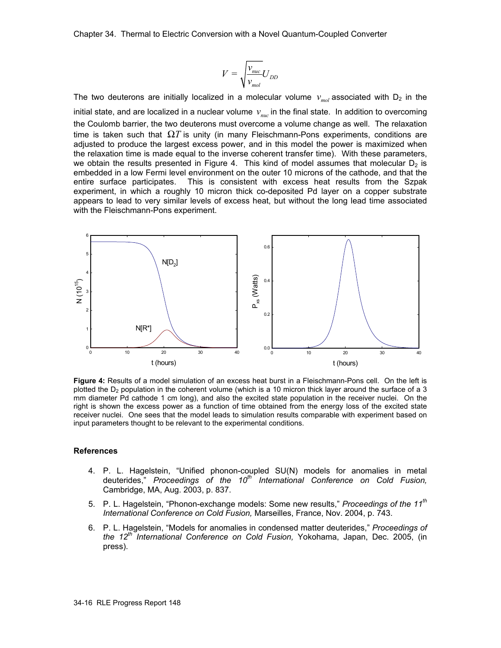Chapter 34. Thermal to Electric Conversion with a Novel Quantum-Coupled Converter

$$
V = \sqrt{\frac{v_{\text{nuc}}}{v_{\text{mol}}}} U_{\text{DD}}
$$

The two deuterons are initially localized in a molecular volume  $v_{mod}$  associated with  $D_2$  in the initial state, and are localized in a nuclear volume  $v_{\text{max}}$  in the final state. In addition to overcoming the Coulomb barrier, the two deuterons must overcome a volume change as well. The relaxation time is taken such that  $\Omega T$  is unity (in many Fleischmann-Pons experiments, conditions are adjusted to produce the largest excess power, and in this model the power is maximized when the relaxation time is made equal to the inverse coherent transfer time). With these parameters, we obtain the results presented in Figure 4. This kind of model assumes that molecular  $D<sub>2</sub>$  is embedded in a low Fermi level environment on the outer 10 microns of the cathode, and that the entire surface participates. This is consistent with excess heat results from the Szpak experiment, in which a roughly 10 micron thick co-deposited Pd layer on a copper substrate appears to lead to very similar levels of excess heat, but without the long lead time associated with the Fleischmann-Pons experiment.



**Figure 4:** Results of a model simulation of an excess heat burst in a Fleischmann-Pons cell. On the left is plotted the D<sub>2</sub> population in the coherent volume (which is a 10 micron thick layer around the surface of a 3 mm diameter Pd cathode 1 cm long), and also the excited state population in the receiver nuclei. On the right is shown the excess power as a function of time obtained from the energy loss of the excited state receiver nuclei. One sees that the model leads to simulation results comparable with experiment based on input parameters thought to be relevant to the experimental conditions.

#### **References**

- 4. P. L. Hagelstein, "Unified phonon-coupled SU(N) models for anomalies in metal deuterides," *Proceedings of the 10th International Conference on Cold Fusion,* Cambridge, MA, Aug. 2003, p. 837.
- 5. P. L. Hagelstein, "Phonon-exchange models: Some new results," *Proceedings of the 11th International Conference on Cold Fusion,* Marseilles, France, Nov. 2004, p. 743.
- 6. P. L. Hagelstein, "Models for anomalies in condensed matter deuterides," *Proceedings of the 12th International Conference on Cold Fusion,* Yokohama, Japan, Dec. 2005, (in press).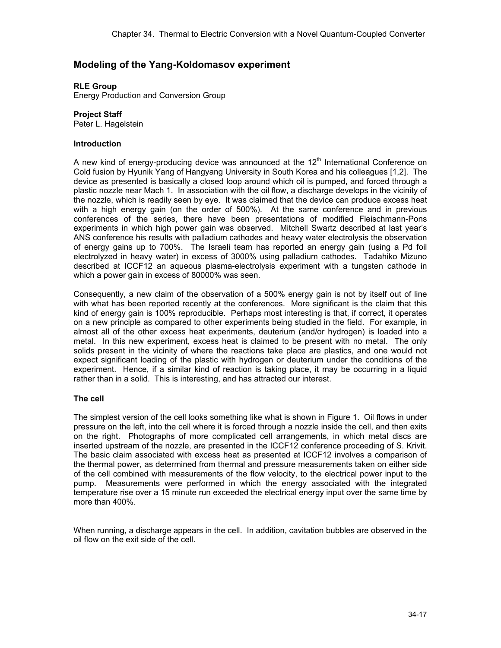# **Modeling of the Yang-Koldomasov experiment**

**RLE Group** 

Energy Production and Conversion Group

**Project Staff** 

Peter L. Hagelstein

# **Introduction**

A new kind of energy-producing device was announced at the  $12<sup>th</sup>$  International Conference on Cold fusion by Hyunik Yang of Hangyang University in South Korea and his colleagues [1,2]. The device as presented is basically a closed loop around which oil is pumped, and forced through a plastic nozzle near Mach 1. In association with the oil flow, a discharge develops in the vicinity of the nozzle, which is readily seen by eye. It was claimed that the device can produce excess heat with a high energy gain (on the order of 500%). At the same conference and in previous conferences of the series, there have been presentations of modified Fleischmann-Pons experiments in which high power gain was observed. Mitchell Swartz described at last year's ANS conference his results with palladium cathodes and heavy water electrolysis the observation of energy gains up to 700%. The Israeli team has reported an energy gain (using a Pd foil electrolyzed in heavy water) in excess of 3000% using palladium cathodes. Tadahiko Mizuno described at ICCF12 an aqueous plasma-electrolysis experiment with a tungsten cathode in which a power gain in excess of 80000% was seen.

Consequently, a new claim of the observation of a 500% energy gain is not by itself out of line with what has been reported recently at the conferences. More significant is the claim that this kind of energy gain is 100% reproducible. Perhaps most interesting is that, if correct, it operates on a new principle as compared to other experiments being studied in the field. For example, in almost all of the other excess heat experiments, deuterium (and/or hydrogen) is loaded into a metal. In this new experiment, excess heat is claimed to be present with no metal. The only solids present in the vicinity of where the reactions take place are plastics, and one would not expect significant loading of the plastic with hydrogen or deuterium under the conditions of the experiment. Hence, if a similar kind of reaction is taking place, it may be occurring in a liquid rather than in a solid. This is interesting, and has attracted our interest.

# **The cell**

The simplest version of the cell looks something like what is shown in Figure 1. Oil flows in under pressure on the left, into the cell where it is forced through a nozzle inside the cell, and then exits on the right. Photographs of more complicated cell arrangements, in which metal discs are inserted upstream of the nozzle, are presented in the ICCF12 conference proceeding of S. Krivit. The basic claim associated with excess heat as presented at ICCF12 involves a comparison of the thermal power, as determined from thermal and pressure measurements taken on either side of the cell combined with measurements of the flow velocity, to the electrical power input to the pump. Measurements were performed in which the energy associated with the integrated temperature rise over a 15 minute run exceeded the electrical energy input over the same time by more than 400%.

When running, a discharge appears in the cell. In addition, cavitation bubbles are observed in the oil flow on the exit side of the cell.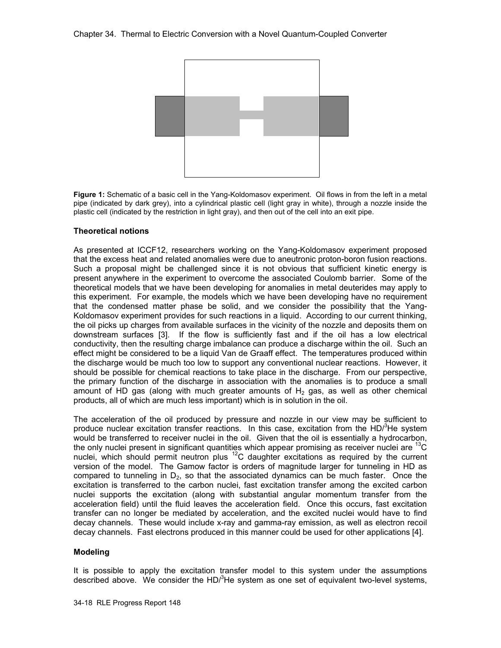

**Figure 1:** Schematic of a basic cell in the Yang-Koldomasov experiment. Oil flows in from the left in a metal pipe (indicated by dark grey), into a cylindrical plastic cell (light gray in white), through a nozzle inside the plastic cell (indicated by the restriction in light gray), and then out of the cell into an exit pipe.

## **Theoretical notions**

As presented at ICCF12, researchers working on the Yang-Koldomasov experiment proposed that the excess heat and related anomalies were due to aneutronic proton-boron fusion reactions. Such a proposal might be challenged since it is not obvious that sufficient kinetic energy is present anywhere in the experiment to overcome the associated Coulomb barrier. Some of the theoretical models that we have been developing for anomalies in metal deuterides may apply to this experiment. For example, the models which we have been developing have no requirement that the condensed matter phase be solid, and we consider the possibility that the Yang-Koldomasov experiment provides for such reactions in a liquid. According to our current thinking, the oil picks up charges from available surfaces in the vicinity of the nozzle and deposits them on downstream surfaces [3]. If the flow is sufficiently fast and if the oil has a low electrical conductivity, then the resulting charge imbalance can produce a discharge within the oil. Such an effect might be considered to be a liquid Van de Graaff effect. The temperatures produced within the discharge would be much too low to support any conventional nuclear reactions. However, it should be possible for chemical reactions to take place in the discharge. From our perspective, the primary function of the discharge in association with the anomalies is to produce a small amount of HD gas (along with much greater amounts of  $H<sub>2</sub>$  gas, as well as other chemical products, all of which are much less important) which is in solution in the oil.

The acceleration of the oil produced by pressure and nozzle in our view may be sufficient to produce nuclear excitation transfer reactions. In this case, excitation from the HD $^3$ He system would be transferred to receiver nuclei in the oil. Given that the oil is essentially a hydrocarbon, the only nuclei present in significant quantities which appear promising as receiver nuclei are <sup>13</sup>C nuclei, which should permit neutron plus  ${}^{12}C$  daughter excitations as required by the current version of the model. The Gamow factor is orders of magnitude larger for tunneling in HD as compared to tunneling in  $D_2$ , so that the associated dynamics can be much faster. Once the excitation is transferred to the carbon nuclei, fast excitation transfer among the excited carbon nuclei supports the excitation (along with substantial angular momentum transfer from the acceleration field) until the fluid leaves the acceleration field. Once this occurs, fast excitation transfer can no longer be mediated by acceleration, and the excited nuclei would have to find decay channels. These would include x-ray and gamma-ray emission, as well as electron recoil decay channels. Fast electrons produced in this manner could be used for other applications [4].

## **Modeling**

It is possible to apply the excitation transfer model to this system under the assumptions described above. We consider the HD $l^3$ He system as one set of equivalent two-level systems,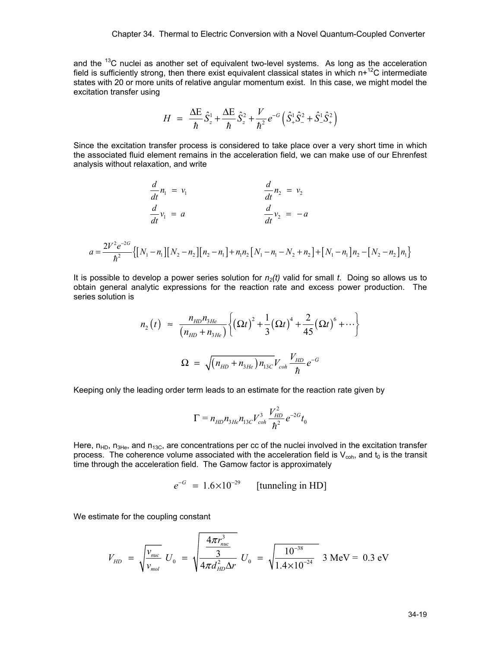and the  $^{13}$ C nuclei as another set of equivalent two-level systems. As long as the acceleration field is sufficiently strong, then there exist equivalent classical states in which  $n^{12}C$  intermediate states with 20 or more units of relative angular momentum exist. In this case, we might model the excitation transfer using

$$
H = \frac{\Delta E}{\hbar} \hat{S}_z^1 + \frac{\Delta E}{\hbar} \hat{S}_z^2 + \frac{V}{\hbar^2} e^{-G} \left( \hat{S}_+^1 \hat{S}_-^2 + \hat{S}_-^1 \hat{S}_+^2 \right)
$$

Since the excitation transfer process is considered to take place over a very short time in which the associated fluid element remains in the acceleration field, we can make use of our Ehrenfest analysis without relaxation, and write

$$
\frac{d}{dt}n_1 = v_1 \qquad \frac{d}{dt}n_2 = v_2
$$
  

$$
\frac{d}{dt}v_1 = a \qquad \frac{d}{dt}v_2 = -a
$$
  

$$
a = \frac{2V^2e^{-2G}}{\hbar^2} \left\{ \left[ N_1 - n_1 \right] \left[ N_2 - n_2 \right] \left[ n_2 - n_1 \right] + n_1 n_2 \left[ N_1 - n_1 - N_2 + n_2 \right] + \left[ N_1 - n_1 \right] n_2 - \left[ N_2 - n_2 \right] n_1 \right\}
$$

It is possible to develop a power series solution for  $n_2(t)$  valid for small *t*. Doing so allows us to obtain general analytic expressions for the reaction rate and excess power production. The series solution is

$$
n_2(t) \approx \frac{n_{HD}n_{3He}}{(n_{HD}+n_{3He})} \left\{ (\Omega t)^2 + \frac{1}{3} (\Omega t)^4 + \frac{2}{45} (\Omega t)^6 + \cdots \right\}
$$
  

$$
\Omega = \sqrt{(n_{HD}+n_{3He})n_{13C}} V_{coh} \frac{V_{HD}}{\hbar} e^{-G}
$$

Keeping only the leading order term leads to an estimate for the reaction rate given by

$$
\Gamma = n_{HD} n_{3He} n_{13C} V_{coh}^3 \frac{V_{HD}^2}{\hbar^2} e^{-2G} t_0
$$

Here,  $n_{HD}$ ,  $n_{3He}$ , and  $n_{13C}$ , are concentrations per cc of the nuclei involved in the excitation transfer process. The coherence volume associated with the acceleration field is  $V_{coh}$ , and  $t_0$  is the transit time through the acceleration field. The Gamow factor is approximately

 $e^{-G} = 1.6 \times 10^{-29}$  [tunneling in HD]

We estimate for the coupling constant

$$
V_{HD} = \sqrt{\frac{v_{muc}}{v_{mol}}} U_0 = \sqrt{\frac{4\pi r_{muc}^3}{4\pi d_{HD}^2 \Delta r}} U_0 = \sqrt{\frac{10^{-38}}{1.4 \times 10^{-24}}} \text{ 3 MeV} = 0.3 \text{ eV}
$$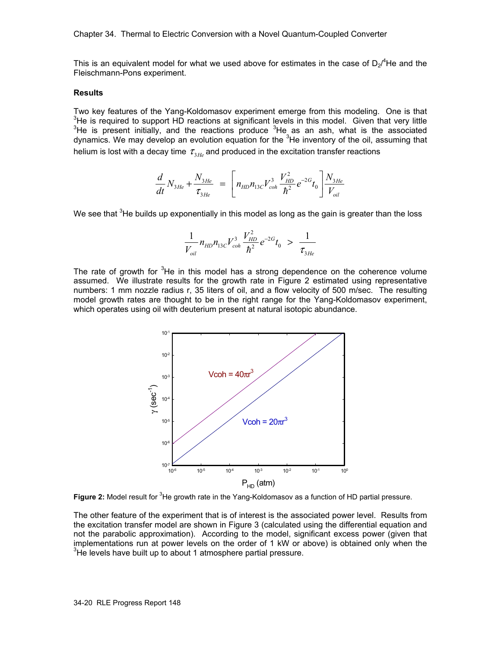Chapter 34. Thermal to Electric Conversion with a Novel Quantum-Coupled Converter

This is an equivalent model for what we used above for estimates in the case of  $D_2{}^4$ He and the Fleischmann-Pons experiment.

#### **Results**

Two key features of the Yang-Koldomasov experiment emerge from this modeling. One is that  $3$ He is required to support HD reactions at significant levels in this model. Given that very little He is present initially, and the reactions produce  $3$ He as an ash, what is the associated dynamics. We may develop an evolution equation for the <sup>3</sup>He inventory of the oil, assuming that helium is lost with a decay time  $\tau_{3He}$  and produced in the excitation transfer reactions

$$
\frac{d}{dt}N_{3He} + \frac{N_{3He}}{\tau_{3He}} = \left[ n_{HD}n_{13C}V_{coh}^3 \frac{V_{HD}^2}{\hbar^2} e^{-2G} t_0 \right] \frac{N_{3He}}{V_{oil}}
$$

We see that  ${}^{3}$ He builds up exponentially in this model as long as the gain is greater than the loss

$$
\frac{1}{V_{oil}} n_{HD} n_{13C} V_{coh}^3 \frac{V_{HD}^2}{\hbar^2} e^{-2G} t_0 > \frac{1}{\tau_{3He}}
$$

The rate of growth for  $3$ He in this model has a strong dependence on the coherence volume assumed. We illustrate results for the growth rate in Figure 2 estimated using representative numbers: 1 mm nozzle radius r, 35 liters of oil, and a flow velocity of 500 m/sec. The resulting model growth rates are thought to be in the right range for the Yang-Koldomasov experiment, which operates using oil with deuterium present at natural isotopic abundance.



Figure 2: Model result for <sup>3</sup>He growth rate in the Yang-Koldomasov as a function of HD partial pressure.

The other feature of the experiment that is of interest is the associated power level. Results from the excitation transfer model are shown in Figure 3 (calculated using the differential equation and not the parabolic approximation). According to the model, significant excess power (given that implementations run at power levels on the order of 1 kW or above) is obtained only when the  $3$ He levels have built up to about 1 atmosphere partial pressure.